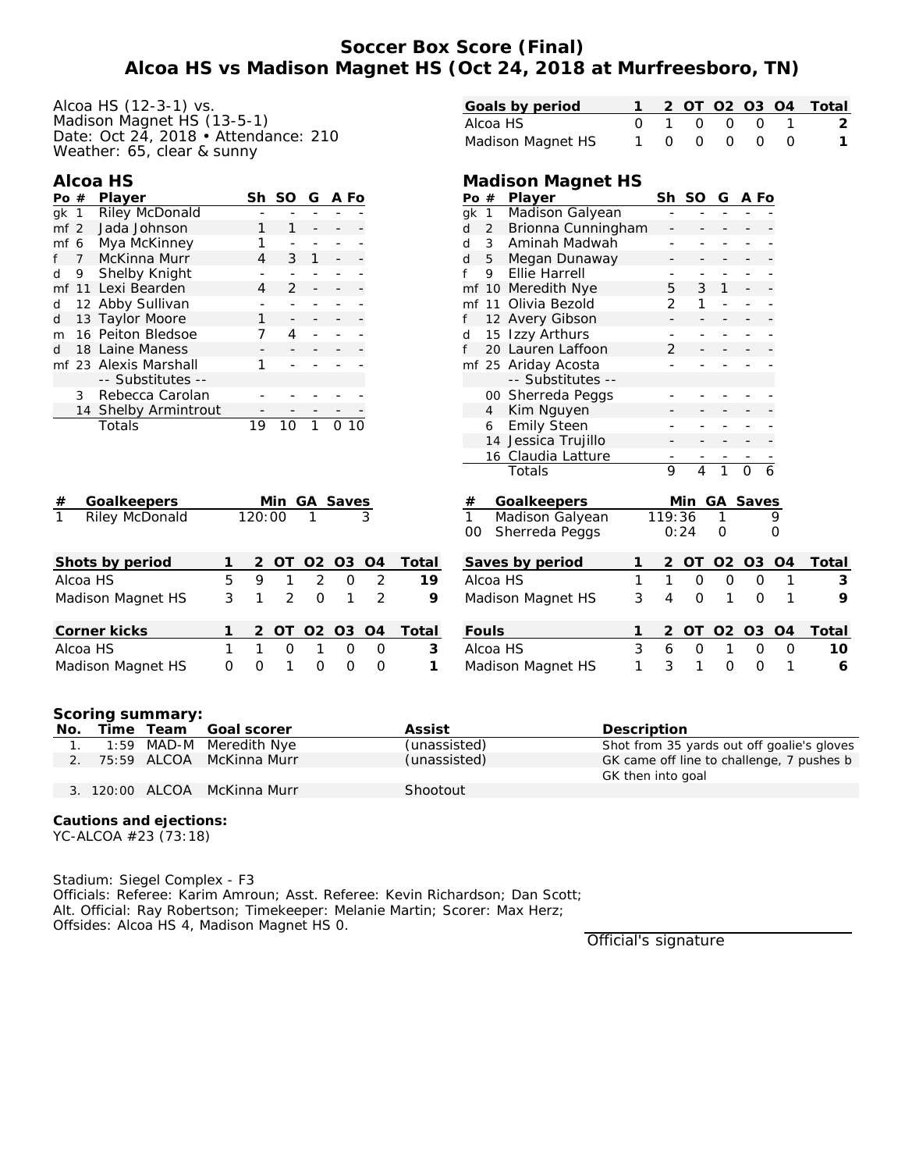## **Soccer Box Score (Final) Alcoa HS vs Madison Magnet HS (Oct 24, 2018 at Murfreesboro, TN)**

| Alcoa HS (12-3-1) vs.<br>Madison Magnet HS (13-5-1)<br>Date: Oct 24, 2018 • Attendance: 210 |   |                |                |                |                |                |       | Goals by period<br>O <sub>3</sub><br>0T<br>O <sub>2</sub><br>O <sub>4</sub><br>2<br>0<br>$\mathbf{1}$<br>Alcoa HS<br>$\mathbf 0$<br>$\Omega$<br>$\overline{O}$<br>1<br>$\overline{O}$<br>Madison Magnet HS<br>$\Omega$<br>O<br>$\Omega$<br>1<br>0 | Total<br>$\overline{2}$<br>1 |
|---------------------------------------------------------------------------------------------|---|----------------|----------------|----------------|----------------|----------------|-------|---------------------------------------------------------------------------------------------------------------------------------------------------------------------------------------------------------------------------------------------------|------------------------------|
| Weather: 65, clear & sunny                                                                  |   |                |                |                |                |                |       |                                                                                                                                                                                                                                                   |                              |
| Alcoa HS                                                                                    |   |                |                |                |                |                |       | Madison Magnet HS                                                                                                                                                                                                                                 |                              |
| Player<br>Po #<br><b>Riley McDonald</b>                                                     |   |                |                |                | Sh SO G A Fo   |                |       | Sh SO G A Fo<br>Player<br>Po #<br><b>Madison Galyean</b><br>$gk$ 1                                                                                                                                                                                |                              |
| gk 1<br>Jada Johnson<br>mf <sub>2</sub>                                                     |   | 1              |                |                |                |                |       | Brionna Cunningham<br>2<br>d                                                                                                                                                                                                                      |                              |
| Mya McKinney<br>mf 6                                                                        |   | 1              |                |                |                |                |       | 3<br>Aminah Madwah<br>d                                                                                                                                                                                                                           |                              |
| <b>McKinna Murr</b><br>$\overline{7}$<br>f                                                  |   | $\overline{4}$ | 3              |                |                |                |       | Megan Dunaway<br>5<br>d                                                                                                                                                                                                                           |                              |
| Shelby Knight<br>9<br>d                                                                     |   |                |                |                |                |                |       | Ellie Harrell<br>9                                                                                                                                                                                                                                |                              |
| mf 11 Lexi Bearden                                                                          |   | 4              | $\overline{2}$ |                |                |                |       | 3<br>mf 10 Meredith Nye<br>5                                                                                                                                                                                                                      |                              |
| 12 Abby Sullivan<br>d                                                                       |   |                |                |                |                |                |       | Olivia Bezold<br>2<br>mf 11                                                                                                                                                                                                                       |                              |
| 13 Taylor Moore<br>d                                                                        |   | 1              |                |                |                |                |       | 12 Avery Gibson                                                                                                                                                                                                                                   |                              |
| 16 Peiton Bledsoe<br>m                                                                      |   | 7              | 4              |                |                |                |       | 15 Izzy Arthurs<br>d                                                                                                                                                                                                                              |                              |
| 18 Laine Maness<br>d                                                                        |   |                |                |                |                |                |       | 20 Lauren Laffoon<br>$\overline{2}$                                                                                                                                                                                                               |                              |
| mf 23 Alexis Marshall                                                                       |   | 1              |                |                |                |                |       | mf 25 Ariday Acosta                                                                                                                                                                                                                               |                              |
| -- Substitutes --                                                                           |   |                |                |                |                |                |       | -- Substitutes --                                                                                                                                                                                                                                 |                              |
| Rebecca Carolan<br>3                                                                        |   |                |                |                |                |                |       | 00 Sherreda Peggs                                                                                                                                                                                                                                 |                              |
| 14 Shelby Armintrout                                                                        |   |                |                |                |                |                |       | Kim Nguyen<br>4                                                                                                                                                                                                                                   |                              |
| Totals                                                                                      |   | 19             | 10             | $\mathbf{1}$   | 0.10           |                |       | <b>Emily Steen</b><br>6                                                                                                                                                                                                                           |                              |
|                                                                                             |   |                |                |                |                |                |       | 14 Jessica Trujillo                                                                                                                                                                                                                               |                              |
|                                                                                             |   |                |                |                |                |                |       | 16 Claudia Latture<br>Totals<br>9<br>$\Omega$<br>6<br>4<br>1                                                                                                                                                                                      |                              |
|                                                                                             |   |                |                |                |                |                |       |                                                                                                                                                                                                                                                   |                              |
| Goalkeepers<br>#                                                                            |   |                |                |                | Min GA Saves   |                |       | Min GA Saves<br>Goalkeepers<br>#                                                                                                                                                                                                                  |                              |
| $\overline{1}$<br><b>Riley McDonald</b>                                                     |   | 120:00         |                |                |                |                |       | $\mathbf{1}$<br>Madison Galyean<br>119:36<br>9<br>1                                                                                                                                                                                               |                              |
|                                                                                             |   |                |                |                |                |                |       | Sherreda Peggs<br>00<br>0:24<br>$\circ$<br>0                                                                                                                                                                                                      |                              |
| Shots by period                                                                             | 1 | 2              | OT             | O <sub>2</sub> | O <sub>3</sub> | O <sub>4</sub> | Total | Saves by period<br>2<br>OT<br>O <sub>2</sub><br>O <sub>3</sub><br>O <sub>4</sub><br>1                                                                                                                                                             | Total                        |
| Alcoa HS                                                                                    | 5 | 9              | 1              | $\overline{2}$ | $\Omega$       | $\overline{2}$ | 19    | $\mathbf{1}$<br>Alcoa HS<br>1<br>$\mathsf{O}$<br>$\overline{O}$<br>$\overline{O}$<br>1                                                                                                                                                            | 3                            |
|                                                                                             | 3 | 1              | $\overline{2}$ | $\Omega$       | 1              | $\overline{2}$ | 9     | 3<br>$\Omega$<br>4<br>1<br>$\Omega$<br>1                                                                                                                                                                                                          | 9                            |
| Madison Magnet HS                                                                           |   |                |                |                |                |                |       | Madison Magnet HS                                                                                                                                                                                                                                 |                              |
| Corner kicks                                                                                | 1 | $\overline{2}$ | <b>OT</b>      | O <sub>2</sub> | O <sub>3</sub> | O <sub>4</sub> | Total | Fouls<br>O2 O3<br>O <sub>4</sub><br>$\overline{2}$<br><b>OT</b>                                                                                                                                                                                   | Total                        |
| Alcoa HS                                                                                    | 1 | $\mathbf{1}$   | $\mathbf{O}$   | 1              | $\Omega$       | $\circ$        | 3     | 3<br>Alcoa HS<br>6<br>$\mathbf{O}$<br>1<br>$\overline{O}$<br>$\circ$                                                                                                                                                                              | 10                           |
| Madison Magnet HS                                                                           | 0 | $\circ$        | 1              | 0              | $\circ$        | 0              | 1     | 1<br>3<br>1<br>Madison Magnet HS<br>0<br>$\circ$<br>1                                                                                                                                                                                             | 6                            |

**Scoring summary:**

| No. |  | Time Team Goal scorer        | Assist       | Description                                |
|-----|--|------------------------------|--------------|--------------------------------------------|
|     |  | 1:59 MAD-M Meredith Nye      | (unassisted) | Shot from 35 yards out off goalie's gloves |
|     |  | 2. 75:59 ALCOA McKinna Murr  | (unassisted) | GK came off line to challenge, 7 pushes b  |
|     |  |                              |              | GK then into goal                          |
|     |  | 3. 120:00 ALCOA McKinna Murr | Shootout     |                                            |

**Cautions and ejections:** YC-ALCOA #23 (73:18)

Stadium: Siegel Complex - F3 Officials: Referee: Karim Amroun; Asst. Referee: Kevin Richardson; Dan Scott; Alt. Official: Ray Robertson; Timekeeper: Melanie Martin; Scorer: Max Herz; Offsides: Alcoa HS 4, Madison Magnet HS 0.

Official's signature